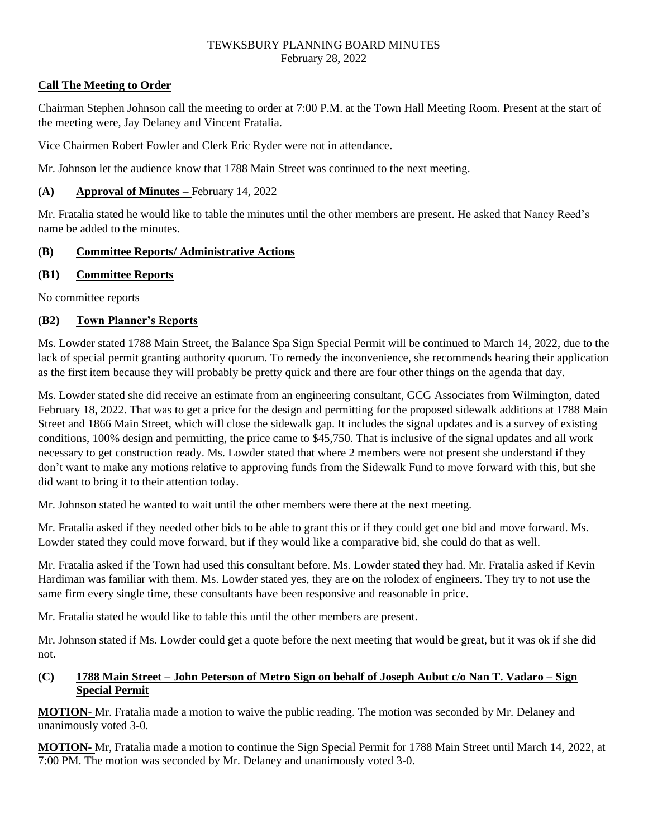## **Call The Meeting to Order**

Chairman Stephen Johnson call the meeting to order at 7:00 P.M. at the Town Hall Meeting Room. Present at the start of the meeting were, Jay Delaney and Vincent Fratalia.

Vice Chairmen Robert Fowler and Clerk Eric Ryder were not in attendance.

Mr. Johnson let the audience know that 1788 Main Street was continued to the next meeting.

## **(A) Approval of Minutes –** February 14, 2022

Mr. Fratalia stated he would like to table the minutes until the other members are present. He asked that Nancy Reed's name be added to the minutes.

## **(B) Committee Reports/ Administrative Actions**

## **(B1) Committee Reports**

No committee reports

## **(B2) Town Planner's Reports**

Ms. Lowder stated 1788 Main Street, the Balance Spa Sign Special Permit will be continued to March 14, 2022, due to the lack of special permit granting authority quorum. To remedy the inconvenience, she recommends hearing their application as the first item because they will probably be pretty quick and there are four other things on the agenda that day.

Ms. Lowder stated she did receive an estimate from an engineering consultant, GCG Associates from Wilmington, dated February 18, 2022. That was to get a price for the design and permitting for the proposed sidewalk additions at 1788 Main Street and 1866 Main Street, which will close the sidewalk gap. It includes the signal updates and is a survey of existing conditions, 100% design and permitting, the price came to \$45,750. That is inclusive of the signal updates and all work necessary to get construction ready. Ms. Lowder stated that where 2 members were not present she understand if they don't want to make any motions relative to approving funds from the Sidewalk Fund to move forward with this, but she did want to bring it to their attention today.

Mr. Johnson stated he wanted to wait until the other members were there at the next meeting.

Mr. Fratalia asked if they needed other bids to be able to grant this or if they could get one bid and move forward. Ms. Lowder stated they could move forward, but if they would like a comparative bid, she could do that as well.

Mr. Fratalia asked if the Town had used this consultant before. Ms. Lowder stated they had. Mr. Fratalia asked if Kevin Hardiman was familiar with them. Ms. Lowder stated yes, they are on the rolodex of engineers. They try to not use the same firm every single time, these consultants have been responsive and reasonable in price.

Mr. Fratalia stated he would like to table this until the other members are present.

Mr. Johnson stated if Ms. Lowder could get a quote before the next meeting that would be great, but it was ok if she did not.

## **(C) 1788 Main Street – John Peterson of Metro Sign on behalf of Joseph Aubut c/o Nan T. Vadaro – Sign Special Permit**

**MOTION-** Mr. Fratalia made a motion to waive the public reading. The motion was seconded by Mr. Delaney and unanimously voted 3-0.

**MOTION-** Mr, Fratalia made a motion to continue the Sign Special Permit for 1788 Main Street until March 14, 2022, at 7:00 PM. The motion was seconded by Mr. Delaney and unanimously voted 3-0.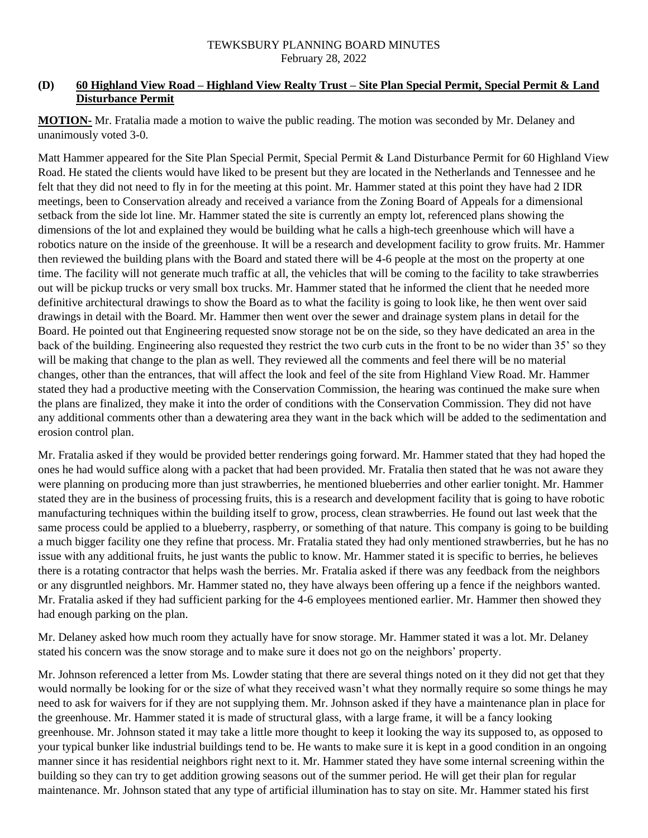## **(D) 60 Highland View Road – Highland View Realty Trust – Site Plan Special Permit, Special Permit & Land Disturbance Permit**

**MOTION-** Mr. Fratalia made a motion to waive the public reading. The motion was seconded by Mr. Delaney and unanimously voted 3-0.

Matt Hammer appeared for the Site Plan Special Permit, Special Permit & Land Disturbance Permit for 60 Highland View Road. He stated the clients would have liked to be present but they are located in the Netherlands and Tennessee and he felt that they did not need to fly in for the meeting at this point. Mr. Hammer stated at this point they have had 2 IDR meetings, been to Conservation already and received a variance from the Zoning Board of Appeals for a dimensional setback from the side lot line. Mr. Hammer stated the site is currently an empty lot, referenced plans showing the dimensions of the lot and explained they would be building what he calls a high-tech greenhouse which will have a robotics nature on the inside of the greenhouse. It will be a research and development facility to grow fruits. Mr. Hammer then reviewed the building plans with the Board and stated there will be 4-6 people at the most on the property at one time. The facility will not generate much traffic at all, the vehicles that will be coming to the facility to take strawberries out will be pickup trucks or very small box trucks. Mr. Hammer stated that he informed the client that he needed more definitive architectural drawings to show the Board as to what the facility is going to look like, he then went over said drawings in detail with the Board. Mr. Hammer then went over the sewer and drainage system plans in detail for the Board. He pointed out that Engineering requested snow storage not be on the side, so they have dedicated an area in the back of the building. Engineering also requested they restrict the two curb cuts in the front to be no wider than 35' so they will be making that change to the plan as well. They reviewed all the comments and feel there will be no material changes, other than the entrances, that will affect the look and feel of the site from Highland View Road. Mr. Hammer stated they had a productive meeting with the Conservation Commission, the hearing was continued the make sure when the plans are finalized, they make it into the order of conditions with the Conservation Commission. They did not have any additional comments other than a dewatering area they want in the back which will be added to the sedimentation and erosion control plan.

Mr. Fratalia asked if they would be provided better renderings going forward. Mr. Hammer stated that they had hoped the ones he had would suffice along with a packet that had been provided. Mr. Fratalia then stated that he was not aware they were planning on producing more than just strawberries, he mentioned blueberries and other earlier tonight. Mr. Hammer stated they are in the business of processing fruits, this is a research and development facility that is going to have robotic manufacturing techniques within the building itself to grow, process, clean strawberries. He found out last week that the same process could be applied to a blueberry, raspberry, or something of that nature. This company is going to be building a much bigger facility one they refine that process. Mr. Fratalia stated they had only mentioned strawberries, but he has no issue with any additional fruits, he just wants the public to know. Mr. Hammer stated it is specific to berries, he believes there is a rotating contractor that helps wash the berries. Mr. Fratalia asked if there was any feedback from the neighbors or any disgruntled neighbors. Mr. Hammer stated no, they have always been offering up a fence if the neighbors wanted. Mr. Fratalia asked if they had sufficient parking for the 4-6 employees mentioned earlier. Mr. Hammer then showed they had enough parking on the plan.

Mr. Delaney asked how much room they actually have for snow storage. Mr. Hammer stated it was a lot. Mr. Delaney stated his concern was the snow storage and to make sure it does not go on the neighbors' property.

Mr. Johnson referenced a letter from Ms. Lowder stating that there are several things noted on it they did not get that they would normally be looking for or the size of what they received wasn't what they normally require so some things he may need to ask for waivers for if they are not supplying them. Mr. Johnson asked if they have a maintenance plan in place for the greenhouse. Mr. Hammer stated it is made of structural glass, with a large frame, it will be a fancy looking greenhouse. Mr. Johnson stated it may take a little more thought to keep it looking the way its supposed to, as opposed to your typical bunker like industrial buildings tend to be. He wants to make sure it is kept in a good condition in an ongoing manner since it has residential neighbors right next to it. Mr. Hammer stated they have some internal screening within the building so they can try to get addition growing seasons out of the summer period. He will get their plan for regular maintenance. Mr. Johnson stated that any type of artificial illumination has to stay on site. Mr. Hammer stated his first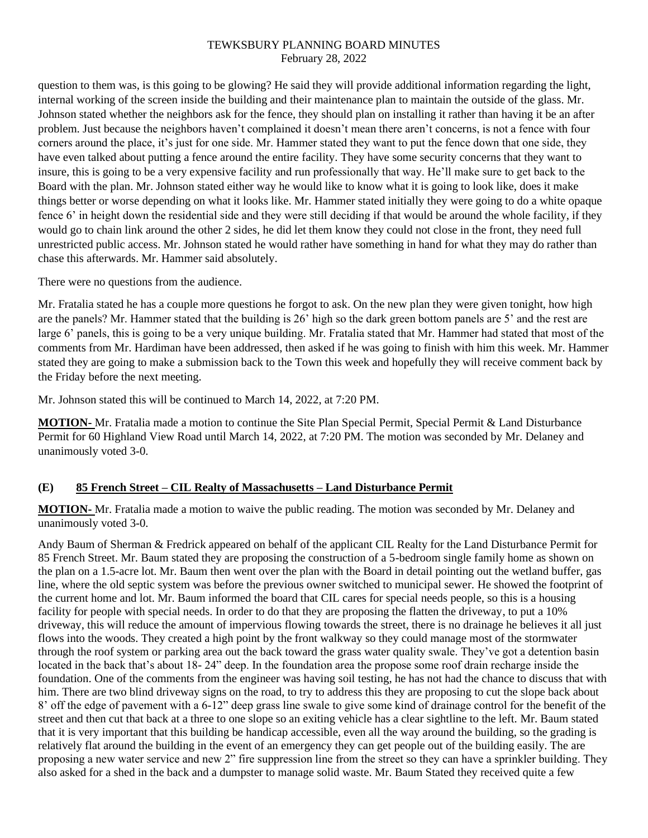question to them was, is this going to be glowing? He said they will provide additional information regarding the light, internal working of the screen inside the building and their maintenance plan to maintain the outside of the glass. Mr. Johnson stated whether the neighbors ask for the fence, they should plan on installing it rather than having it be an after problem. Just because the neighbors haven't complained it doesn't mean there aren't concerns, is not a fence with four corners around the place, it's just for one side. Mr. Hammer stated they want to put the fence down that one side, they have even talked about putting a fence around the entire facility. They have some security concerns that they want to insure, this is going to be a very expensive facility and run professionally that way. He'll make sure to get back to the Board with the plan. Mr. Johnson stated either way he would like to know what it is going to look like, does it make things better or worse depending on what it looks like. Mr. Hammer stated initially they were going to do a white opaque fence 6' in height down the residential side and they were still deciding if that would be around the whole facility, if they would go to chain link around the other 2 sides, he did let them know they could not close in the front, they need full unrestricted public access. Mr. Johnson stated he would rather have something in hand for what they may do rather than chase this afterwards. Mr. Hammer said absolutely.

There were no questions from the audience.

Mr. Fratalia stated he has a couple more questions he forgot to ask. On the new plan they were given tonight, how high are the panels? Mr. Hammer stated that the building is 26' high so the dark green bottom panels are 5' and the rest are large 6' panels, this is going to be a very unique building. Mr. Fratalia stated that Mr. Hammer had stated that most of the comments from Mr. Hardiman have been addressed, then asked if he was going to finish with him this week. Mr. Hammer stated they are going to make a submission back to the Town this week and hopefully they will receive comment back by the Friday before the next meeting.

Mr. Johnson stated this will be continued to March 14, 2022, at 7:20 PM.

**MOTION-** Mr. Fratalia made a motion to continue the Site Plan Special Permit, Special Permit & Land Disturbance Permit for 60 Highland View Road until March 14, 2022, at 7:20 PM. The motion was seconded by Mr. Delaney and unanimously voted 3-0.

## **(E) 85 French Street – CIL Realty of Massachusetts – Land Disturbance Permit**

**MOTION-** Mr. Fratalia made a motion to waive the public reading. The motion was seconded by Mr. Delaney and unanimously voted 3-0.

Andy Baum of Sherman & Fredrick appeared on behalf of the applicant CIL Realty for the Land Disturbance Permit for 85 French Street. Mr. Baum stated they are proposing the construction of a 5-bedroom single family home as shown on the plan on a 1.5-acre lot. Mr. Baum then went over the plan with the Board in detail pointing out the wetland buffer, gas line, where the old septic system was before the previous owner switched to municipal sewer. He showed the footprint of the current home and lot. Mr. Baum informed the board that CIL cares for special needs people, so this is a housing facility for people with special needs. In order to do that they are proposing the flatten the driveway, to put a 10% driveway, this will reduce the amount of impervious flowing towards the street, there is no drainage he believes it all just flows into the woods. They created a high point by the front walkway so they could manage most of the stormwater through the roof system or parking area out the back toward the grass water quality swale. They've got a detention basin located in the back that's about 18- 24" deep. In the foundation area the propose some roof drain recharge inside the foundation. One of the comments from the engineer was having soil testing, he has not had the chance to discuss that with him. There are two blind driveway signs on the road, to try to address this they are proposing to cut the slope back about 8' off the edge of pavement with a 6-12" deep grass line swale to give some kind of drainage control for the benefit of the street and then cut that back at a three to one slope so an exiting vehicle has a clear sightline to the left. Mr. Baum stated that it is very important that this building be handicap accessible, even all the way around the building, so the grading is relatively flat around the building in the event of an emergency they can get people out of the building easily. The are proposing a new water service and new 2" fire suppression line from the street so they can have a sprinkler building. They also asked for a shed in the back and a dumpster to manage solid waste. Mr. Baum Stated they received quite a few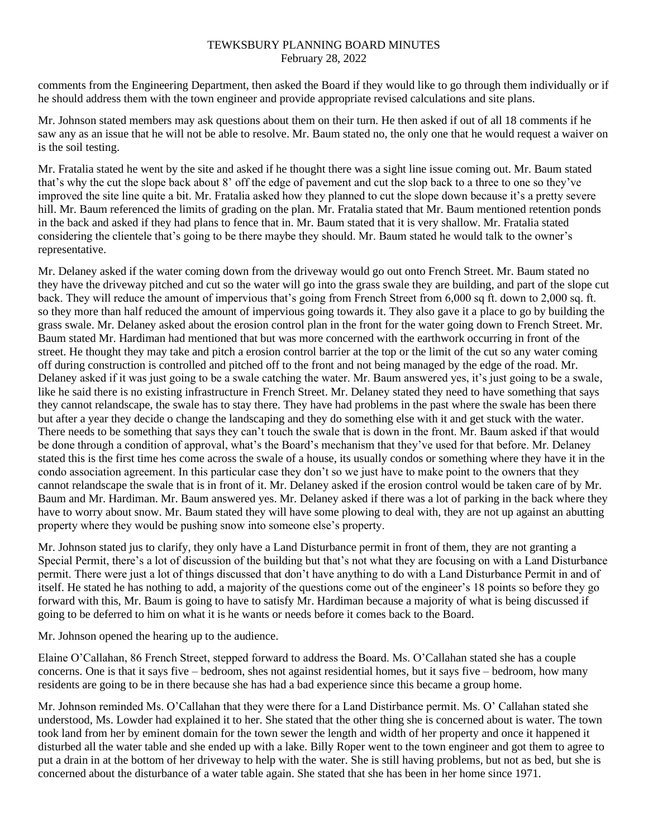comments from the Engineering Department, then asked the Board if they would like to go through them individually or if he should address them with the town engineer and provide appropriate revised calculations and site plans.

Mr. Johnson stated members may ask questions about them on their turn. He then asked if out of all 18 comments if he saw any as an issue that he will not be able to resolve. Mr. Baum stated no, the only one that he would request a waiver on is the soil testing.

Mr. Fratalia stated he went by the site and asked if he thought there was a sight line issue coming out. Mr. Baum stated that's why the cut the slope back about 8' off the edge of pavement and cut the slop back to a three to one so they've improved the site line quite a bit. Mr. Fratalia asked how they planned to cut the slope down because it's a pretty severe hill. Mr. Baum referenced the limits of grading on the plan. Mr. Fratalia stated that Mr. Baum mentioned retention ponds in the back and asked if they had plans to fence that in. Mr. Baum stated that it is very shallow. Mr. Fratalia stated considering the clientele that's going to be there maybe they should. Mr. Baum stated he would talk to the owner's representative.

Mr. Delaney asked if the water coming down from the driveway would go out onto French Street. Mr. Baum stated no they have the driveway pitched and cut so the water will go into the grass swale they are building, and part of the slope cut back. They will reduce the amount of impervious that's going from French Street from 6,000 sq ft. down to 2,000 sq. ft. so they more than half reduced the amount of impervious going towards it. They also gave it a place to go by building the grass swale. Mr. Delaney asked about the erosion control plan in the front for the water going down to French Street. Mr. Baum stated Mr. Hardiman had mentioned that but was more concerned with the earthwork occurring in front of the street. He thought they may take and pitch a erosion control barrier at the top or the limit of the cut so any water coming off during construction is controlled and pitched off to the front and not being managed by the edge of the road. Mr. Delaney asked if it was just going to be a swale catching the water. Mr. Baum answered yes, it's just going to be a swale, like he said there is no existing infrastructure in French Street. Mr. Delaney stated they need to have something that says they cannot relandscape, the swale has to stay there. They have had problems in the past where the swale has been there but after a year they decide o change the landscaping and they do something else with it and get stuck with the water. There needs to be something that says they can't touch the swale that is down in the front. Mr. Baum asked if that would be done through a condition of approval, what's the Board's mechanism that they've used for that before. Mr. Delaney stated this is the first time hes come across the swale of a house, its usually condos or something where they have it in the condo association agreement. In this particular case they don't so we just have to make point to the owners that they cannot relandscape the swale that is in front of it. Mr. Delaney asked if the erosion control would be taken care of by Mr. Baum and Mr. Hardiman. Mr. Baum answered yes. Mr. Delaney asked if there was a lot of parking in the back where they have to worry about snow. Mr. Baum stated they will have some plowing to deal with, they are not up against an abutting property where they would be pushing snow into someone else's property.

Mr. Johnson stated jus to clarify, they only have a Land Disturbance permit in front of them, they are not granting a Special Permit, there's a lot of discussion of the building but that's not what they are focusing on with a Land Disturbance permit. There were just a lot of things discussed that don't have anything to do with a Land Disturbance Permit in and of itself. He stated he has nothing to add, a majority of the questions come out of the engineer's 18 points so before they go forward with this, Mr. Baum is going to have to satisfy Mr. Hardiman because a majority of what is being discussed if going to be deferred to him on what it is he wants or needs before it comes back to the Board.

Mr. Johnson opened the hearing up to the audience.

Elaine O'Callahan, 86 French Street, stepped forward to address the Board. Ms. O'Callahan stated she has a couple concerns. One is that it says five – bedroom, shes not against residential homes, but it says five – bedroom, how many residents are going to be in there because she has had a bad experience since this became a group home.

Mr. Johnson reminded Ms. O'Callahan that they were there for a Land Distirbance permit. Ms. O' Callahan stated she understood, Ms. Lowder had explained it to her. She stated that the other thing she is concerned about is water. The town took land from her by eminent domain for the town sewer the length and width of her property and once it happened it disturbed all the water table and she ended up with a lake. Billy Roper went to the town engineer and got them to agree to put a drain in at the bottom of her driveway to help with the water. She is still having problems, but not as bed, but she is concerned about the disturbance of a water table again. She stated that she has been in her home since 1971.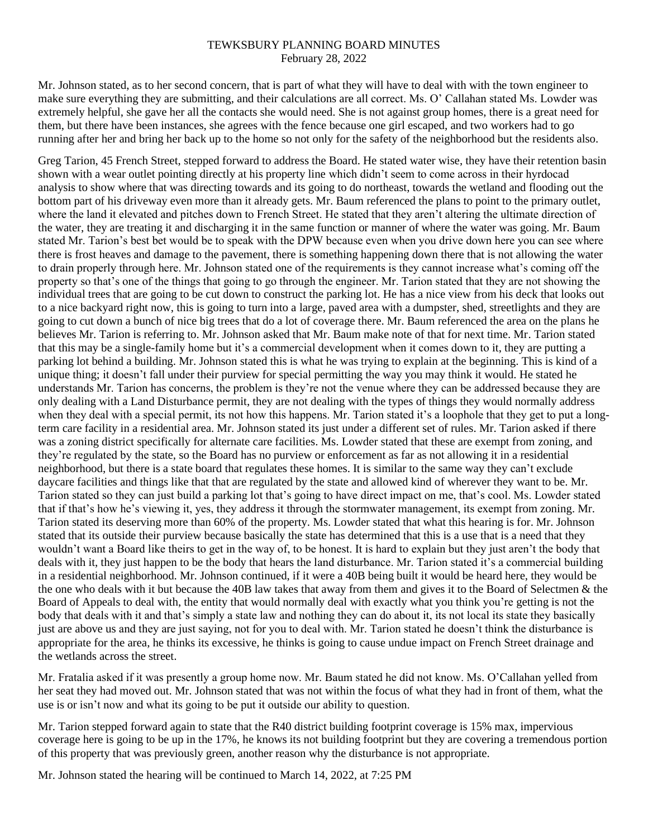Mr. Johnson stated, as to her second concern, that is part of what they will have to deal with with the town engineer to make sure everything they are submitting, and their calculations are all correct. Ms. O' Callahan stated Ms. Lowder was extremely helpful, she gave her all the contacts she would need. She is not against group homes, there is a great need for them, but there have been instances, she agrees with the fence because one girl escaped, and two workers had to go running after her and bring her back up to the home so not only for the safety of the neighborhood but the residents also.

Greg Tarion, 45 French Street, stepped forward to address the Board. He stated water wise, they have their retention basin shown with a wear outlet pointing directly at his property line which didn't seem to come across in their hyrdocad analysis to show where that was directing towards and its going to do northeast, towards the wetland and flooding out the bottom part of his driveway even more than it already gets. Mr. Baum referenced the plans to point to the primary outlet, where the land it elevated and pitches down to French Street. He stated that they aren't altering the ultimate direction of the water, they are treating it and discharging it in the same function or manner of where the water was going. Mr. Baum stated Mr. Tarion's best bet would be to speak with the DPW because even when you drive down here you can see where there is frost heaves and damage to the pavement, there is something happening down there that is not allowing the water to drain properly through here. Mr. Johnson stated one of the requirements is they cannot increase what's coming off the property so that's one of the things that going to go through the engineer. Mr. Tarion stated that they are not showing the individual trees that are going to be cut down to construct the parking lot. He has a nice view from his deck that looks out to a nice backyard right now, this is going to turn into a large, paved area with a dumpster, shed, streetlights and they are going to cut down a bunch of nice big trees that do a lot of coverage there. Mr. Baum referenced the area on the plans he believes Mr. Tarion is referring to. Mr. Johnson asked that Mr. Baum make note of that for next time. Mr. Tarion stated that this may be a single-family home but it's a commercial development when it comes down to it, they are putting a parking lot behind a building. Mr. Johnson stated this is what he was trying to explain at the beginning. This is kind of a unique thing; it doesn't fall under their purview for special permitting the way you may think it would. He stated he understands Mr. Tarion has concerns, the problem is they're not the venue where they can be addressed because they are only dealing with a Land Disturbance permit, they are not dealing with the types of things they would normally address when they deal with a special permit, its not how this happens. Mr. Tarion stated it's a loophole that they get to put a longterm care facility in a residential area. Mr. Johnson stated its just under a different set of rules. Mr. Tarion asked if there was a zoning district specifically for alternate care facilities. Ms. Lowder stated that these are exempt from zoning, and they're regulated by the state, so the Board has no purview or enforcement as far as not allowing it in a residential neighborhood, but there is a state board that regulates these homes. It is similar to the same way they can't exclude daycare facilities and things like that that are regulated by the state and allowed kind of wherever they want to be. Mr. Tarion stated so they can just build a parking lot that's going to have direct impact on me, that's cool. Ms. Lowder stated that if that's how he's viewing it, yes, they address it through the stormwater management, its exempt from zoning. Mr. Tarion stated its deserving more than 60% of the property. Ms. Lowder stated that what this hearing is for. Mr. Johnson stated that its outside their purview because basically the state has determined that this is a use that is a need that they wouldn't want a Board like theirs to get in the way of, to be honest. It is hard to explain but they just aren't the body that deals with it, they just happen to be the body that hears the land disturbance. Mr. Tarion stated it's a commercial building in a residential neighborhood. Mr. Johnson continued, if it were a 40B being built it would be heard here, they would be the one who deals with it but because the 40B law takes that away from them and gives it to the Board of Selectmen & the Board of Appeals to deal with, the entity that would normally deal with exactly what you think you're getting is not the body that deals with it and that's simply a state law and nothing they can do about it, its not local its state they basically just are above us and they are just saying, not for you to deal with. Mr. Tarion stated he doesn't think the disturbance is appropriate for the area, he thinks its excessive, he thinks is going to cause undue impact on French Street drainage and the wetlands across the street.

Mr. Fratalia asked if it was presently a group home now. Mr. Baum stated he did not know. Ms. O'Callahan yelled from her seat they had moved out. Mr. Johnson stated that was not within the focus of what they had in front of them, what the use is or isn't now and what its going to be put it outside our ability to question.

Mr. Tarion stepped forward again to state that the R40 district building footprint coverage is 15% max, impervious coverage here is going to be up in the 17%, he knows its not building footprint but they are covering a tremendous portion of this property that was previously green, another reason why the disturbance is not appropriate.

Mr. Johnson stated the hearing will be continued to March 14, 2022, at 7:25 PM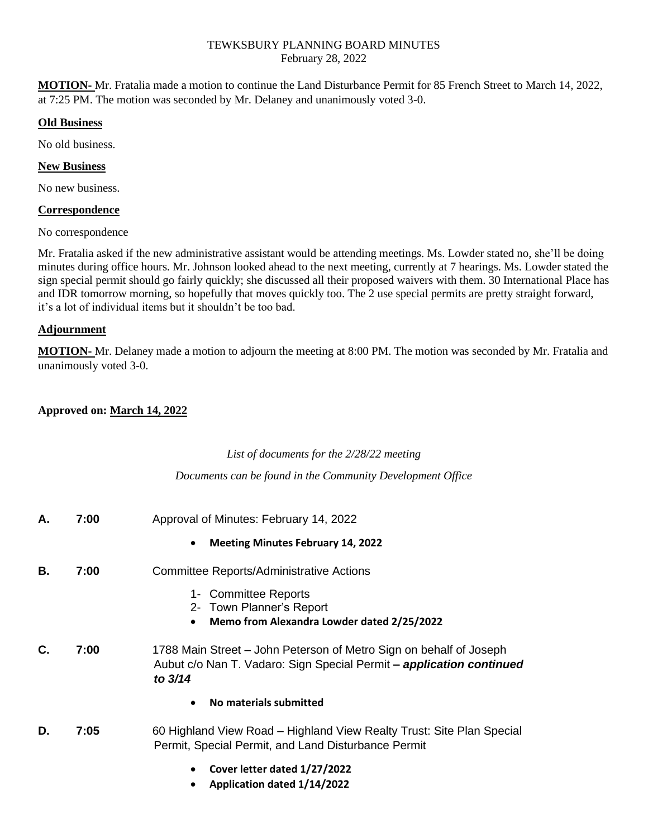**MOTION-** Mr. Fratalia made a motion to continue the Land Disturbance Permit for 85 French Street to March 14, 2022, at 7:25 PM. The motion was seconded by Mr. Delaney and unanimously voted 3-0.

#### **Old Business**

No old business.

## **New Business**

No new business.

## **Correspondence**

No correspondence

Mr. Fratalia asked if the new administrative assistant would be attending meetings. Ms. Lowder stated no, she'll be doing minutes during office hours. Mr. Johnson looked ahead to the next meeting, currently at 7 hearings. Ms. Lowder stated the sign special permit should go fairly quickly; she discussed all their proposed waivers with them. 30 International Place has and IDR tomorrow morning, so hopefully that moves quickly too. The 2 use special permits are pretty straight forward, it's a lot of individual items but it shouldn't be too bad.

# **Adjournment**

**MOTION-** Mr. Delaney made a motion to adjourn the meeting at 8:00 PM. The motion was seconded by Mr. Fratalia and unanimously voted 3-0.

# **Approved on: March 14, 2022**

## *List of documents for the 2/28/22 meeting*

*Documents can be found in the Community Development Office*

| А. | 7:00 | Approval of Minutes: February 14, 2022<br><b>Meeting Minutes February 14, 2022</b><br>$\bullet$                                                       |
|----|------|-------------------------------------------------------------------------------------------------------------------------------------------------------|
| В. | 7:00 | Committee Reports/Administrative Actions<br>1- Committee Reports<br>2- Town Planner's Report<br>Memo from Alexandra Lowder dated 2/25/2022            |
| C. | 7:00 | 1788 Main Street – John Peterson of Metro Sign on behalf of Joseph<br>Aubut c/o Nan T. Vadaro: Sign Special Permit - application continued<br>to 3/14 |
|    |      | No materials submitted                                                                                                                                |
| D. | 7:05 | 60 Highland View Road - Highland View Realty Trust: Site Plan Special<br>Permit, Special Permit, and Land Disturbance Permit                          |
|    |      | Cover letter dated 1/27/2022<br>Application dated 1/14/2022                                                                                           |